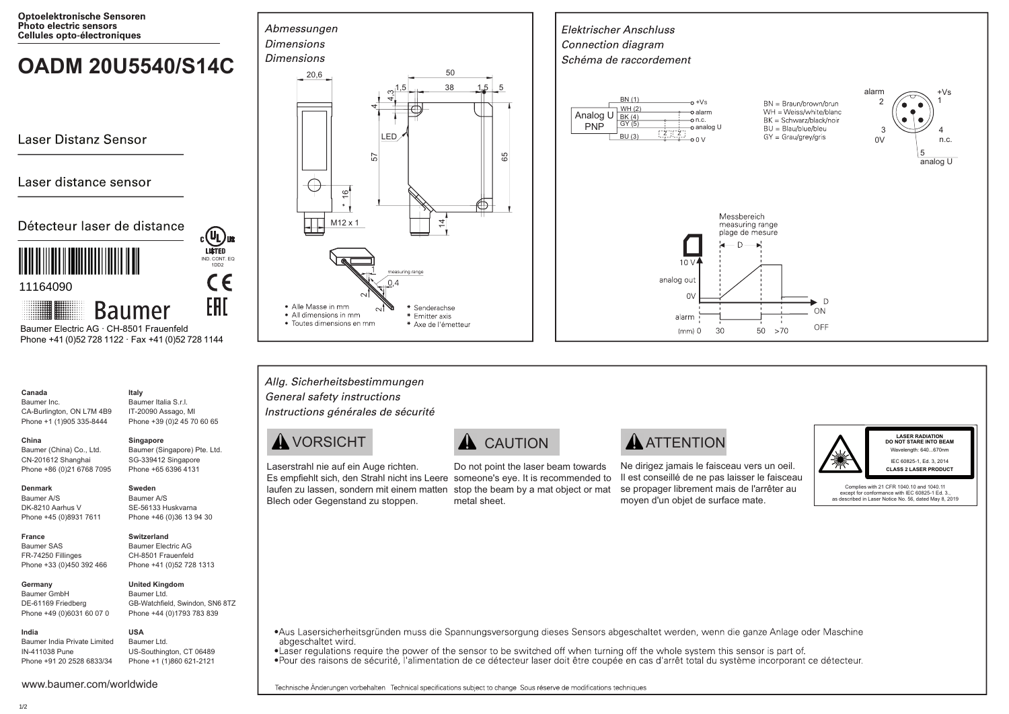**Optoelektronische Sensoren** Photo electric sensors Cellules opto-électroniques

# **OADM 20U5540/S14C**  $\int_{20,6}^{Dimensions}$

Laser Distanz Sensor

# Laser distance sensor

Détecteur laser de distance



 Phone +41 (0)52 728 1122 · Fax +41 (0)52 728 1144 Baumer Electric AG · CH-8501 Frauenfeld

**Baumer** 

### **Canada** Baumer Inc.

CA-Burlington, ON L7M 4B9 Phone +1 (1)905 335-8444 Baumer Italia S.r.l. IT-20090 Assago, MI Phone +39 (0)2 45 70 60 65

## **China**

Baumer (China) Co., Ltd. CN-201612 Shanghai Phone +86 (0)21 6768 7095 Baumer (Singapore) Pte. Ltd. SG-339412 Singapore Phone +65 6396 4131

**Singapore**

IND. CONT. EQ 1DD2

 $c\epsilon$ 

EAL

COL US

**Italy**

## **Denmark**

**France** Baumer SAS FR-74250 Fillinges

Baumer A/S DK-8210 Aarhus V Phone +45 (0)8931 7611

## **Switzerland**

**United Kingdom**

**Sweden** Baumer A/S SE-56133 Huskvarna Phone +46 (0)36 13 94 30

Phone +33 (0)450 392 466 Baumer Electric AG CH-8501 Frauenfeld Phone +41 (0)52 728 1313

### **Germany**  Baumer GmbH DE-61169 Friedberg

Phone +49 (0)6031 60 07 0 Baumer Ltd. GB-Watchfield, Swindon, SN6 8TZ Phone +44 (0)1793 783 839 **USA**

Baumer India Private Limited IN-411038 Pune Phone +91 20 2528 6833/34 Baumer Ltd. US-Southington, CT 06489 Phone +1 (1)860 621-2121







# Allg. Sicherheitsbestimmungen General safety instructions Instructions générales de sécurité

Laserstrahl nie auf ein Auge richten. Blech oder Gegenstand zu stoppen.

Es empfiehlt sich, den Strahl nicht ins Leere someone's eye. It is recommended to laufen zu lassen, sondern mit einem matten stop the beam by a mat object or mat Do not point the laser beam towards metal sheet.

# $\bigwedge$  VORSICHT  $\bigwedge$  CAUTION  $\bigwedge$  ATTENTION

Ne dirigez jamais le faisceau vers un oeil. Il est conseillé de ne pas laisser le faisceau se propager librement mais de l'arrêter au moyen d'un objet de surface mate.



**LASER RADIATION DO NOT STARE INTO BEAM** Wavelength: 640 670nm IEC 60825-1, Ed. 3, 2014 **CLASS 2 LASER PRODUCT**

Complies with 21 CFR 1040.10 and 1040.11 except for conformance with IEC 60825-1 Ed. 3. as described in Laser Notice No. 56, dated May 8, 2019

•Aus Lasersicherheitsgründen muss die Spannungsversorgung dieses Sensors abgeschaltet werden, wenn die ganze Anlage oder Maschine abgeschaltet wird

• Laser regulations require the power of the sensor to be switched off when turning off the whole system this sensor is part of.

•Pour des raisons de sécurité, l'alimentation de ce détecteur laser doit être coupée en cas d'arrêt total du système incorporant ce détecteur.

Technische Änderungen vorbehalten Technical specifications subiect to change Sous réserve de modifications techniques

**India**